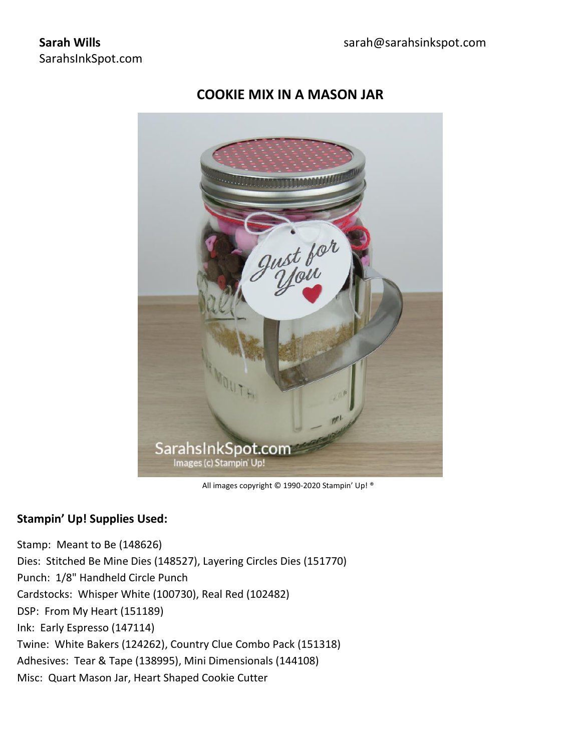# quot for SarahsInkSpot.com Images (c) Stampin' Up!

# **COOKIE MIX IN A MASON JAR**

All images copyright © 1990-2020 Stampin' Up! ®

### **Stampin' Up! Supplies Used:**

Stamp: Meant to Be (148626) Dies: Stitched Be Mine Dies (148527), Layering Circles Dies (151770) Punch: 1/8" Handheld Circle Punch Cardstocks: Whisper White (100730), Real Red (102482) DSP: From My Heart (151189) Ink: Early Espresso (147114) Twine: White Bakers (124262), Country Clue Combo Pack (151318) Adhesives: Tear & Tape (138995), Mini Dimensionals (144108) Misc: Quart Mason Jar, Heart Shaped Cookie Cutter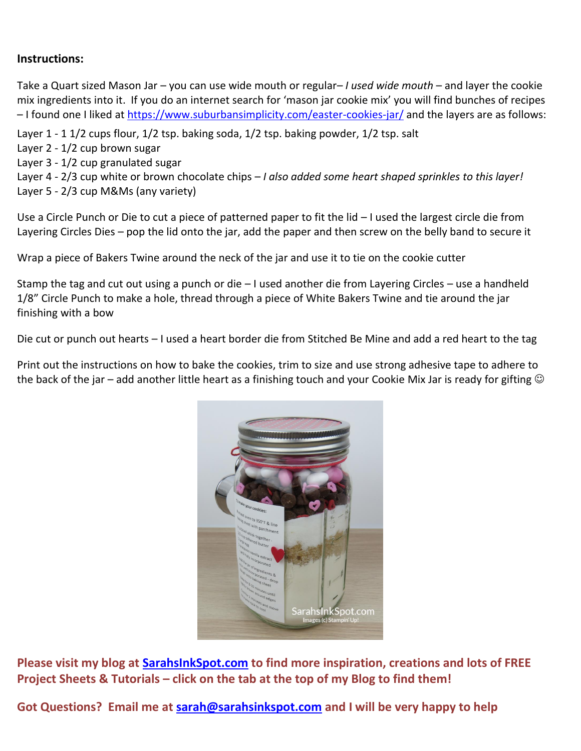## **Instructions:**

Take a Quart sized Mason Jar – you can use wide mouth or regular*– I used wide mouth* – and layer the cookie mix ingredients into it. If you do an internet search for 'mason jar cookie mix' you will find bunches of recipes – I found one I liked at<https://www.suburbansimplicity.com/easter-cookies-jar/> and the layers are as follows:

Layer 1 - 1 1/2 cups flour, 1/2 tsp. baking soda, 1/2 tsp. baking powder, 1/2 tsp. salt

- Layer 2 1/2 cup brown sugar
- Layer 3 1/2 cup granulated sugar

Layer 4 - 2/3 cup white or brown chocolate chips – *I also added some heart shaped sprinkles to this layer!* Layer 5 - 2/3 cup M&Ms (any variety)

Use a Circle Punch or Die to cut a piece of patterned paper to fit the lid – I used the largest circle die from Layering Circles Dies – pop the lid onto the jar, add the paper and then screw on the belly band to secure it

Wrap a piece of Bakers Twine around the neck of the jar and use it to tie on the cookie cutter

Stamp the tag and cut out using a punch or die – I used another die from Layering Circles – use a handheld 1/8" Circle Punch to make a hole, thread through a piece of White Bakers Twine and tie around the jar finishing with a bow

Die cut or punch out hearts – I used a heart border die from Stitched Be Mine and add a red heart to the tag

Print out the instructions on how to bake the cookies, trim to size and use strong adhesive tape to adhere to the back of the jar – add another little heart as a finishing touch and your Cookie Mix Jar is ready for gifting  $\odot$ 



**Please visit my blog at [SarahsInkSpot.com](http://www.sarahsinkspot.com/) to find more inspiration, creations and lots of FREE Project Sheets & Tutorials – click on the tab at the top of my Blog to find them!** 

**Got Questions? Email me at [sarah@sarahsinkspot.com](mailto:sarah@sarahsinkspot.com) and I will be very happy to help**